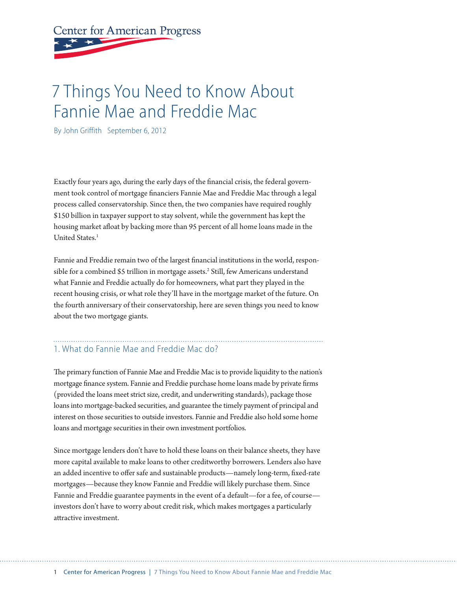# **Center for American Progress**

# 7 Things You Need to Know About Fannie Mae and Freddie Mac

By John Griffith September 6, 2012

Exactly four years ago, during the early days of the financial crisis, the federal government took control of mortgage financiers Fannie Mae and Freddie Mac through a legal process called conservatorship. Since then, the two companies have required roughly \$150 billion in taxpayer support to stay solvent, while the government has kept the housing market afloat by backing more than 95 percent of all home loans made in the United States.<sup>1</sup>

Fannie and Freddie remain two of the largest financial institutions in the world, responsible for a combined \$5 trillion in mortgage assets.<sup>2</sup> Still, few Americans understand what Fannie and Freddie actually do for homeowners, what part they played in the recent housing crisis, or what role they'll have in the mortgage market of the future. On the fourth anniversary of their conservatorship, here are seven things you need to know about the two mortgage giants.

#### 1. What do Fannie Mae and Freddie Mac do?

The primary function of Fannie Mae and Freddie Mac is to provide liquidity to the nation's mortgage finance system. Fannie and Freddie purchase home loans made by private firms (provided the loans meet strict size, credit, and underwriting standards), package those loans into mortgage-backed securities, and guarantee the timely payment of principal and interest on those securities to outside investors. Fannie and Freddie also hold some home loans and mortgage securities in their own investment portfolios.

Since mortgage lenders don't have to hold these loans on their balance sheets, they have more capital available to make loans to other creditworthy borrowers. Lenders also have an added incentive to offer safe and sustainable products—namely long-term, fixed-rate mortgages—because they know Fannie and Freddie will likely purchase them. Since Fannie and Freddie guarantee payments in the event of a default—for a fee, of course investors don't have to worry about credit risk, which makes mortgages a particularly attractive investment.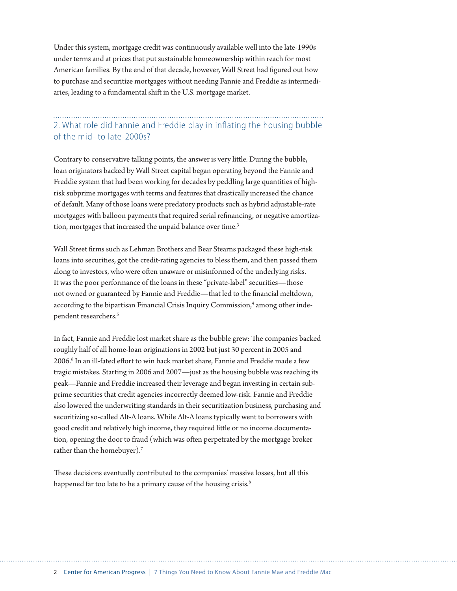Under this system, mortgage credit was continuously available well into the late-1990s under terms and at prices that put sustainable homeownership within reach for most American families. By the end of that decade, however, Wall Street had figured out how to purchase and securitize mortgages without needing Fannie and Freddie as intermediaries, leading to a fundamental shift in the U.S. mortgage market.

#### 2. What role did Fannie and Freddie play in inflating the housing bubble of the mid- to late-2000s?

Contrary to conservative talking points, the answer is very little. During the bubble, loan originators backed by Wall Street capital began operating beyond the Fannie and Freddie system that had been working for decades by peddling large quantities of highrisk subprime mortgages with terms and features that drastically increased the chance of default. Many of those loans were predatory products such as hybrid adjustable-rate mortgages with balloon payments that required serial refinancing, or negative amortization, mortgages that increased the unpaid balance over time.<sup>3</sup>

Wall Street firms such as Lehman Brothers and Bear Stearns packaged these high-risk loans into securities, got the credit-rating agencies to bless them, and then passed them along to investors, who were often unaware or misinformed of the underlying risks. It was the poor performance of the loans in these "private-label" securities—those not owned or guaranteed by Fannie and Freddie—that led to the financial meltdown, according to the bipartisan Financial Crisis Inquiry Commission,<sup>4</sup> among other independent researchers.<sup>5</sup>

In fact, Fannie and Freddie lost market share as the bubble grew: The companies backed roughly half of all home-loan originations in 2002 but just 30 percent in 2005 and 2006.6 In an ill-fated effort to win back market share, Fannie and Freddie made a few tragic mistakes. Starting in 2006 and 2007—just as the housing bubble was reaching its peak—Fannie and Freddie increased their leverage and began investing in certain subprime securities that credit agencies incorrectly deemed low-risk. Fannie and Freddie also lowered the underwriting standards in their securitization business, purchasing and securitizing so-called Alt-A loans. While Alt-A loans typically went to borrowers with good credit and relatively high income, they required little or no income documentation, opening the door to fraud (which was often perpetrated by the mortgage broker rather than the homebuyer).7

These decisions eventually contributed to the companies' massive losses, but all this happened far too late to be a primary cause of the housing crisis.<sup>8</sup>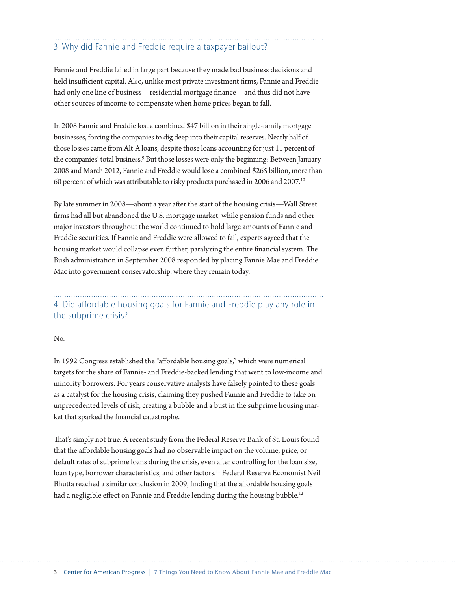#### 3. Why did Fannie and Freddie require a taxpayer bailout?

Fannie and Freddie failed in large part because they made bad business decisions and held insufficient capital. Also, unlike most private investment firms, Fannie and Freddie had only one line of business—residential mortgage finance—and thus did not have other sources of income to compensate when home prices began to fall.

In 2008 Fannie and Freddie lost a combined \$47 billion in their single-family mortgage businesses, forcing the companies to dig deep into their capital reserves. Nearly half of those losses came from Alt-A loans, despite those loans accounting for just 11 percent of the companies' total business.<sup>9</sup> But those losses were only the beginning: Between January 2008 and March 2012, Fannie and Freddie would lose a combined \$265 billion, more than 60 percent of which was attributable to risky products purchased in 2006 and 2007.10

By late summer in 2008—about a year after the start of the housing crisis—Wall Street firms had all but abandoned the U.S. mortgage market, while pension funds and other major investors throughout the world continued to hold large amounts of Fannie and Freddie securities. If Fannie and Freddie were allowed to fail, experts agreed that the housing market would collapse even further, paralyzing the entire financial system. The Bush administration in September 2008 responded by placing Fannie Mae and Freddie Mac into government conservatorship, where they remain today.

4. Did affordable housing goals for Fannie and Freddie play any role in the subprime crisis?

#### No.

In 1992 Congress established the "affordable housing goals," which were numerical targets for the share of Fannie- and Freddie-backed lending that went to low-income and minority borrowers. For years conservative analysts have falsely pointed to these goals as a catalyst for the housing crisis, claiming they pushed Fannie and Freddie to take on unprecedented levels of risk, creating a bubble and a bust in the subprime housing market that sparked the financial catastrophe.

That's simply not true. A recent study from the Federal Reserve Bank of St. Louis found that the affordable housing goals had no observable impact on the volume, price, or default rates of subprime loans during the crisis, even after controlling for the loan size, loan type, borrower characteristics, and other factors.<sup>11</sup> Federal Reserve Economist Neil Bhutta reached a similar conclusion in 2009, finding that the affordable housing goals had a negligible effect on Fannie and Freddie lending during the housing bubble.<sup>12</sup>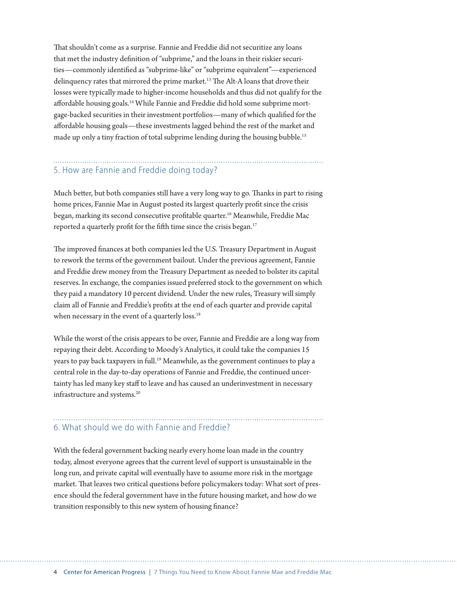That shouldn't come as a surprise. Fannie and Freddie did not securitize any loans that met the industry definition of "subprime," and the loans in their riskier securities—commonly identified as "subprime-like" or "subprime equivalent"—experienced delinquency rates that mirrored the prime market.<sup>13</sup> The Alt-A loans that drove their losses were typically made to higher-income households and thus did not qualify for the affordable housing goals.<sup>14</sup> While Fannie and Freddie did hold some subprime mortgage-backed securities in their investment portfolios—many of which qualified for the affordable housing goals—these investments lagged behind the rest of the market and made up only a tiny fraction of total subprime lending during the housing bubble.<sup>15</sup>

#### 5. How are Fannie and Freddie doing today?

Much better, but both companies still have a very long way to go. Thanks in part to rising home prices, Fannie Mae in August posted its largest quarterly profit since the crisis began, marking its second consecutive profitable quarter.<sup>16</sup> Meanwhile, Freddie Mac reported a quarterly profit for the fifth time since the crisis began.<sup>17</sup>

The improved finances at both companies led the U.S. Treasury Department in August to rework the terms of the government bailout. Under the previous agreement, Fannie and Freddie drew money from the Treasury Department as needed to bolster its capital reserves. In exchange, the companies issued preferred stock to the government on which they paid a mandatory 10 percent dividend. Under the new rules, Treasury will simply claim all of Fannie and Freddie's profits at the end of each quarter and provide capital when necessary in the event of a quarterly loss.<sup>18</sup>

While the worst of the crisis appears to be over, Fannie and Freddie are a long way from repaying their debt. According to Moody's Analytics, it could take the companies 15 years to pay back taxpayers in full.<sup>19</sup> Meanwhile, as the government continues to play a central role in the day-to-day operations of Fannie and Freddie, the continued uncertainty has led many key staff to leave and has caused an underinvestment in necessary infrastructure and systems.20

## 6. What should we do with Fannie and Freddie?

With the federal government backing nearly every home loan made in the country today, almost everyone agrees that the current level of support is unsustainable in the long run, and private capital will eventually have to assume more risk in the mortgage market. That leaves two critical questions before policymakers today: What sort of presence should the federal government have in the future housing market, and how do we transition responsibly to this new system of housing finance?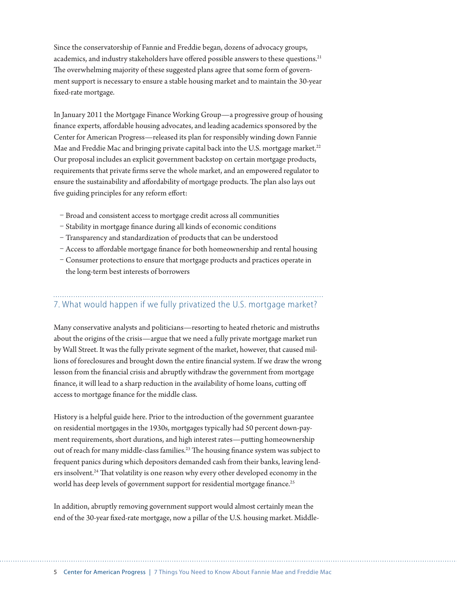Since the conservatorship of Fannie and Freddie began, dozens of advocacy groups, academics, and industry stakeholders have offered possible answers to these questions.<sup>21</sup> The overwhelming majority of these suggested plans agree that some form of government support is necessary to ensure a stable housing market and to maintain the 30-year fixed-rate mortgage.

In January 2011 the Mortgage Finance Working Group—a progressive group of housing finance experts, affordable housing advocates, and leading academics sponsored by the Center for American Progress—released its plan for responsibly winding down Fannie Mae and Freddie Mac and bringing private capital back into the U.S. mortgage market.<sup>22</sup> Our proposal includes an explicit government backstop on certain mortgage products, requirements that private firms serve the whole market, and an empowered regulator to ensure the sustainability and affordability of mortgage products. The plan also lays out five guiding principles for any reform effort:

- Broad and consistent access to mortgage credit across all communities
- Stability in mortgage finance during all kinds of economic conditions
- Transparency and standardization of products that can be understood
- Access to affordable mortgage finance for both homeownership and rental housing
- Consumer protections to ensure that mortgage products and practices operate in the long-term best interests of borrowers

## 7. What would happen if we fully privatized the U.S. mortgage market?

Many conservative analysts and politicians—resorting to heated rhetoric and mistruths about the origins of the crisis—argue that we need a fully private mortgage market run by Wall Street. It was the fully private segment of the market, however, that caused millions of foreclosures and brought down the entire financial system. If we draw the wrong lesson from the financial crisis and abruptly withdraw the government from mortgage finance, it will lead to a sharp reduction in the availability of home loans, cutting off access to mortgage finance for the middle class.

History is a helpful guide here. Prior to the introduction of the government guarantee on residential mortgages in the 1930s, mortgages typically had 50 percent down-payment requirements, short durations, and high interest rates—putting homeownership out of reach for many middle-class families.23 The housing finance system was subject to frequent panics during which depositors demanded cash from their banks, leaving lenders insolvent.<sup>24</sup> That volatility is one reason why every other developed economy in the world has deep levels of government support for residential mortgage finance.<sup>25</sup>

In addition, abruptly removing government support would almost certainly mean the end of the 30-year fixed-rate mortgage, now a pillar of the U.S. housing market. Middle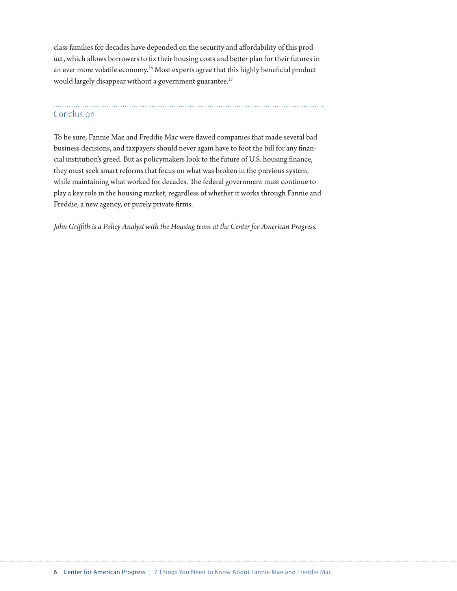class families for decades have depended on the security and affordability of this product, which allows borrowers to fix their housing costs and better plan for their futures in an ever more volatile economy.<sup>26</sup> Most experts agree that this highly beneficial product would largely disappear without a government guarantee.<sup>27</sup>

## Conclusion

To be sure, Fannie Mae and Freddie Mac were flawed companies that made several bad business decisions, and taxpayers should never again have to foot the bill for any financial institution's greed. But as policymakers look to the future of U.S. housing finance, they must seek smart reforms that focus on what was broken in the previous system, while maintaining what worked for decades. The federal government must continue to play a key role in the housing market, regardless of whether it works through Fannie and Freddie, a new agency, or purely private firms.

*John Griffith is a Policy Analyst with the Housing team at the Center for American Progress.*